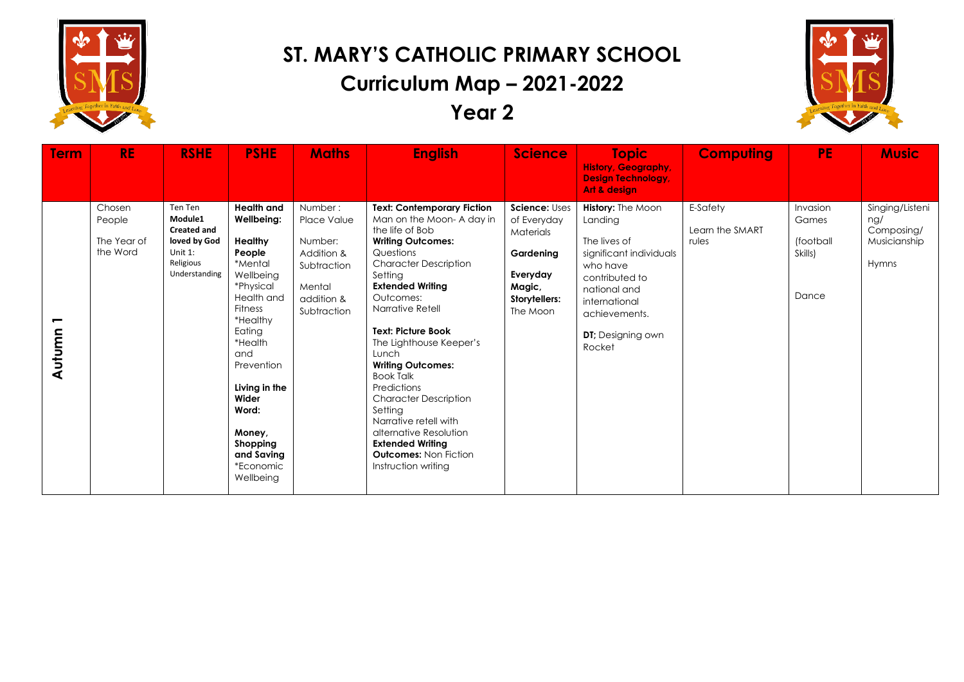



| <b>Term</b> | <b>RE</b>                                   | <b>RSHE</b>                                                                                       | <b>PSHE</b>                                                                                                                                                                                                                                                                      | <b>Maths</b>                                                                                          | <b>English</b>                                                                                                                                                                                                                                                                                                                                                                                                                                                                                                                                   | <b>Science</b>                                                                                            | <b>Topic</b>                                                                                                                                                                                          | <b>Computing</b>                     | <b>PE</b>                                          | <b>Music</b>                                                  |
|-------------|---------------------------------------------|---------------------------------------------------------------------------------------------------|----------------------------------------------------------------------------------------------------------------------------------------------------------------------------------------------------------------------------------------------------------------------------------|-------------------------------------------------------------------------------------------------------|--------------------------------------------------------------------------------------------------------------------------------------------------------------------------------------------------------------------------------------------------------------------------------------------------------------------------------------------------------------------------------------------------------------------------------------------------------------------------------------------------------------------------------------------------|-----------------------------------------------------------------------------------------------------------|-------------------------------------------------------------------------------------------------------------------------------------------------------------------------------------------------------|--------------------------------------|----------------------------------------------------|---------------------------------------------------------------|
|             |                                             |                                                                                                   |                                                                                                                                                                                                                                                                                  |                                                                                                       |                                                                                                                                                                                                                                                                                                                                                                                                                                                                                                                                                  |                                                                                                           | <b>History, Geography,</b><br><b>Design Technology,</b><br>Art & design                                                                                                                               |                                      |                                                    |                                                               |
| Autumn      | Chosen<br>People<br>The Year of<br>the Word | Ten Ten<br>Module1<br><b>Created and</b><br>loved by God<br>Unit 1:<br>Religious<br>Understanding | <b>Health and</b><br>Wellbeing:<br>Healthy<br>People<br>*Mental<br>Wellbeing<br>*Physical<br>Health and<br><b>Fitness</b><br>*Healthy<br>Eating<br>*Health<br>and<br>Prevention<br>Living in the<br>Wider<br>Word:<br>Money,<br>Shopping<br>and Saving<br>*Economic<br>Wellbeing | Number:<br>Place Value<br>Number:<br>Addition &<br>Subtraction<br>Mental<br>addition &<br>Subtraction | <b>Text: Contemporary Fiction</b><br>Man on the Moon-A day in<br>the life of Bob<br><b>Writing Outcomes:</b><br>Questions<br><b>Character Description</b><br>Setting<br><b>Extended Writing</b><br>Outcomes:<br>Narrative Retell<br><b>Text: Picture Book</b><br>The Lighthouse Keeper's<br>Lunch<br><b>Writing Outcomes:</b><br><b>Book Talk</b><br>Predictions<br><b>Character Description</b><br>Setting<br>Narrative retell with<br>alternative Resolution<br><b>Extended Writing</b><br><b>Outcomes: Non Fiction</b><br>Instruction writing | Science: Uses<br>of Everyday<br>Materials<br>Gardening<br>Everyday<br>Magic,<br>Storytellers:<br>The Moon | <b>History: The Moon</b><br>Landing<br>The lives of<br>significant individuals<br>who have<br>contributed to<br>national and<br>international<br>achievements.<br><b>DT</b> ; Designing own<br>Rocket | E-Safety<br>Learn the SMART<br>rules | Invasion<br>Games<br>(football<br>Skills)<br>Dance | Singing/Listeni<br>nq/<br>Composing/<br>Musicianship<br>Hymns |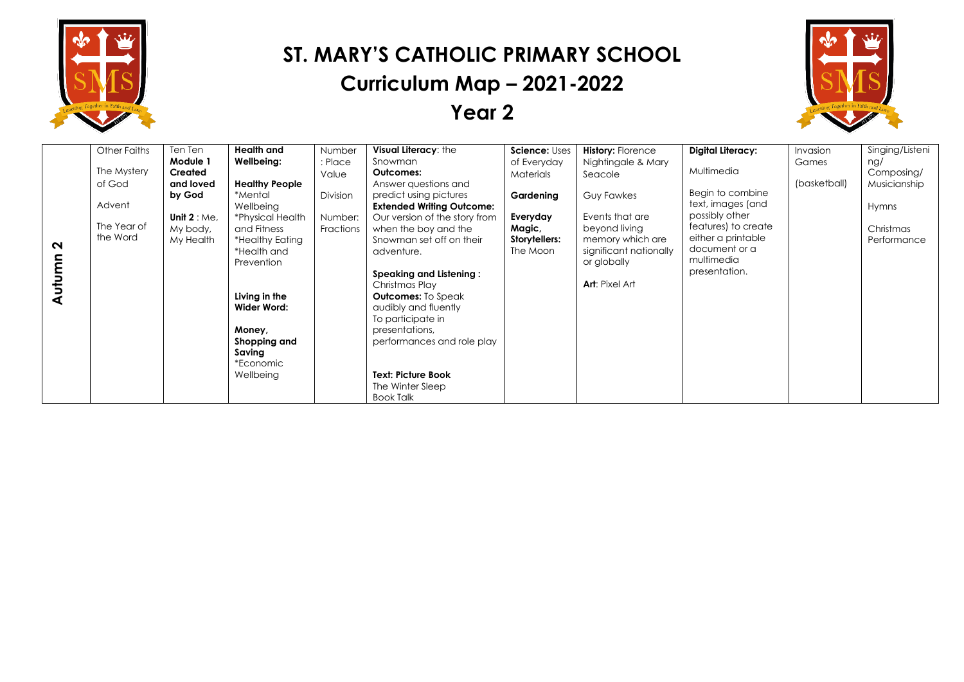



|        | <b>Other Faiths</b> | Ten Ten         | <b>Health</b> and     | Number    | Visual Literacy: the             | Science: Uses | <b>History: Florence</b> | Digital Literacy:   | Invasion     | Singing/Listeni |
|--------|---------------------|-----------------|-----------------------|-----------|----------------------------------|---------------|--------------------------|---------------------|--------------|-----------------|
|        |                     | Module 1        | Wellbeing:            | : Place   | Snowman                          | of Everyday   | Nightingale & Mary       |                     | Games        | ng/             |
|        | The Mystery         | Created         |                       | Value     | <b>Outcomes:</b>                 | Materials     | Seacole                  | Multimedia          |              | Composing/      |
|        | of God              | and loved       | <b>Healthy People</b> |           | Answer questions and             |               |                          |                     | (basketball) | Musicianship    |
|        |                     | by God          | *Mental               | Division  | predict using pictures           | Gardening     | <b>Guy Fawkes</b>        | Begin to combine    |              |                 |
|        | Advent              |                 | Wellbeing             |           | <b>Extended Writing Outcome:</b> |               |                          | text, images (and   |              | Hymns           |
|        | The Year of         | Unit $2 : Me$ , | *Physical Health      | Number:   | Our version of the story from    | Everyday      | Events that are          | possibly other      |              |                 |
|        |                     | My body,        | and Fitness           | Fractions | when the boy and the             | Magic,        | beyond living            | features) to create |              | Christmas       |
| $\sim$ | the Word            | My Health       | *Healthy Eating       |           | Snowman set off on their         | Storytellers: | memory which are         | either a printable  |              | Performance     |
|        |                     |                 | *Health and           |           | adventure.                       | The Moon      | significant nationally   | document or a       |              |                 |
|        |                     |                 | Prevention            |           |                                  |               | or globally              | multimedia          |              |                 |
|        |                     |                 |                       |           | <b>Speaking and Listening:</b>   |               |                          | presentation.       |              |                 |
| Б      |                     |                 |                       |           | Christmas Play                   |               | <b>Art: Pixel Art</b>    |                     |              |                 |
|        |                     |                 | Living in the         |           | <b>Outcomes:</b> To Speak        |               |                          |                     |              |                 |
|        |                     |                 | Wider Word:           |           | audibly and fluently             |               |                          |                     |              |                 |
|        |                     |                 |                       |           | To participate in                |               |                          |                     |              |                 |
|        |                     |                 | Money,                |           | presentations,                   |               |                          |                     |              |                 |
|        |                     |                 | Shopping and          |           | performances and role play       |               |                          |                     |              |                 |
|        |                     |                 | Saving                |           |                                  |               |                          |                     |              |                 |
|        |                     |                 | *Economic             |           |                                  |               |                          |                     |              |                 |
|        |                     |                 | Wellbeing             |           | <b>Text: Picture Book</b>        |               |                          |                     |              |                 |
|        |                     |                 |                       |           | The Winter Sleep                 |               |                          |                     |              |                 |
|        |                     |                 |                       |           | Book Talk                        |               |                          |                     |              |                 |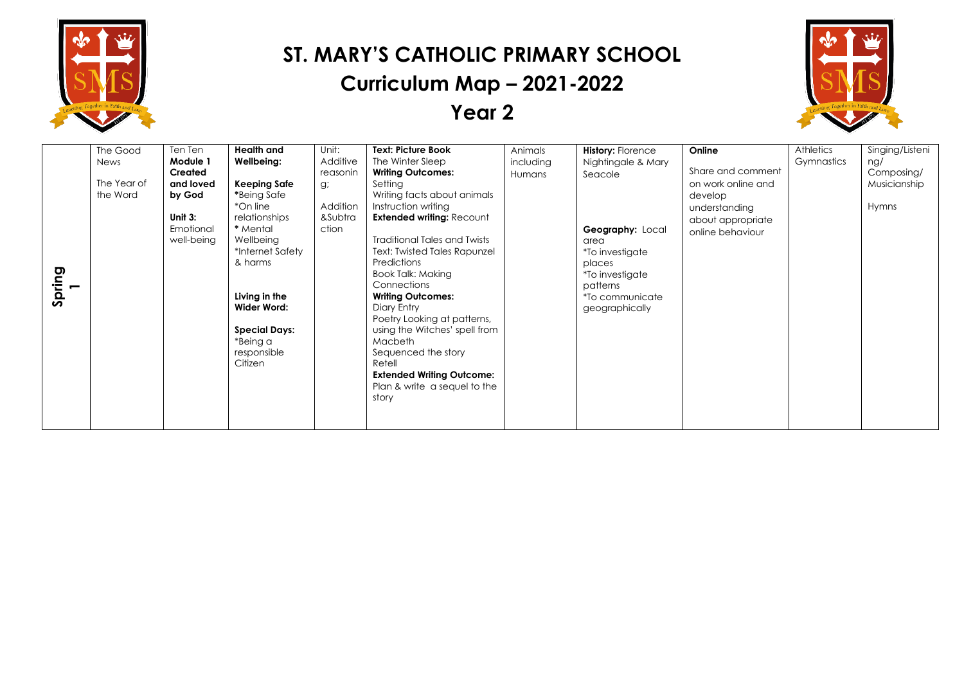



| Spring<br>$\overline{\phantom{0}}$ | The Good<br>News<br>The Year of<br>the Word | Ten Ten<br>Module 1<br><b>Created</b><br>and loved<br>by God<br>Unit $3:$<br>Emotional<br>well-being | Health and<br>Wellbeing:<br>Keeping Safe<br>*Being Safe<br>*On line<br>relationships<br>* Mental<br>Wellbeing<br>*Internet Safety<br>& harms<br>Living in the<br>Wider Word:<br><b>Special Days:</b><br>*Being a | Unit:<br>Additive<br>reasonin<br>g;<br>Addition<br>&Subtra<br>ction | <b>Text: Picture Book</b><br>The Winter Sleep<br><b>Writing Outcomes:</b><br>Setting<br>Writing facts about animals<br>Instruction writing<br><b>Extended writing: Recount</b><br><b>Traditional Tales and Twists</b><br>Text: Twisted Tales Rapunzel<br>Predictions<br>Book Talk: Making<br>Connections<br><b>Writing Outcomes:</b><br>Diary Entry<br>Poetry Looking at patterns,<br>using the Witches' spell from<br><b>Macbeth</b> | Animals<br>including<br>Humans | <b>History: Florence</b><br>Nightingale & Mary<br>Seacole<br>Geography: Local<br>area<br>*To investigate<br>places<br>*To investigate<br>patterns<br>*To communicate<br>geographically | Online<br>Share and comment<br>on work online and<br>develop<br>understanding<br>about appropriate<br>online behaviour | <b>Athletics</b><br>Gymnastics | Singing/Listeni<br>ng/<br>Composing/<br>Musicianship<br>Hymns |
|------------------------------------|---------------------------------------------|------------------------------------------------------------------------------------------------------|------------------------------------------------------------------------------------------------------------------------------------------------------------------------------------------------------------------|---------------------------------------------------------------------|---------------------------------------------------------------------------------------------------------------------------------------------------------------------------------------------------------------------------------------------------------------------------------------------------------------------------------------------------------------------------------------------------------------------------------------|--------------------------------|----------------------------------------------------------------------------------------------------------------------------------------------------------------------------------------|------------------------------------------------------------------------------------------------------------------------|--------------------------------|---------------------------------------------------------------|
|                                    |                                             |                                                                                                      | responsible<br>Citizen                                                                                                                                                                                           |                                                                     | Sequenced the story<br>Retell<br><b>Extended Writing Outcome:</b><br>Plan & write a sequel to the<br>story                                                                                                                                                                                                                                                                                                                            |                                |                                                                                                                                                                                        |                                                                                                                        |                                |                                                               |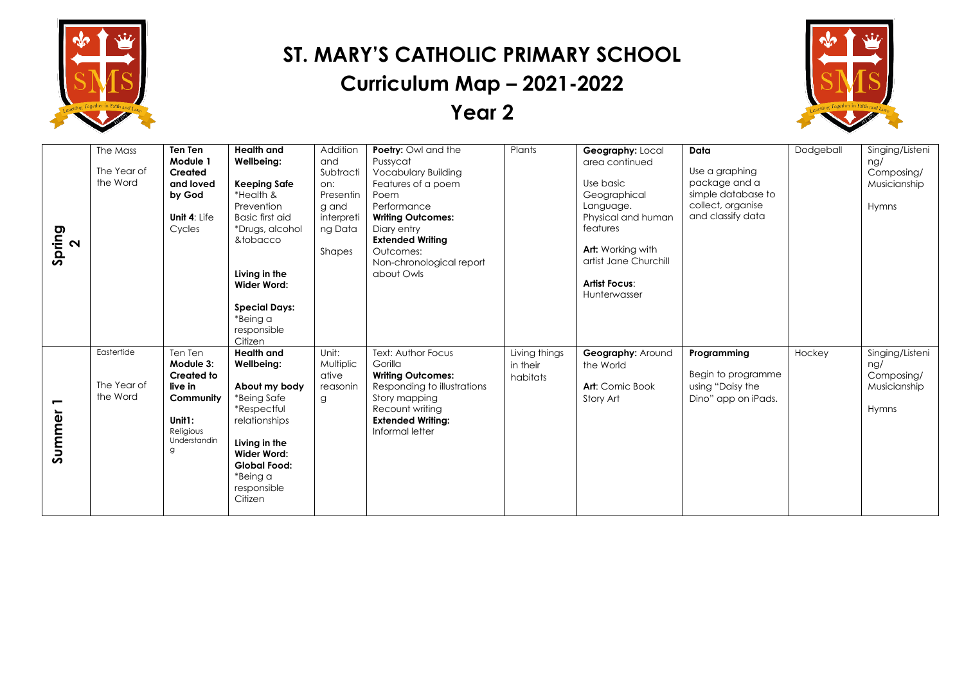



| <b>Health and</b><br>Addition<br>Poetry: Owl and the<br>Dodgeball<br>The Mass<br><b>Ten Ten</b><br>Plants<br>Geography: Local<br>Data<br>Module 1<br>Pussycat<br>Wellbeing:<br>and<br>area continued<br>The Year of<br>Use a graphing<br><b>Vocabulary Building</b><br>Created<br>Subtracti<br>the Word<br>package and a<br>Use basic<br><b>Keeping Safe</b><br>Features of a poem<br>and loved<br>on:<br>simple database to<br>by God<br>*Health &<br>Presentin<br>Poem<br>Geographical | Singing/Listeni<br>nq/<br>Composing/<br>Musicianship<br>Hymns |
|------------------------------------------------------------------------------------------------------------------------------------------------------------------------------------------------------------------------------------------------------------------------------------------------------------------------------------------------------------------------------------------------------------------------------------------------------------------------------------------|---------------------------------------------------------------|
|                                                                                                                                                                                                                                                                                                                                                                                                                                                                                          |                                                               |
|                                                                                                                                                                                                                                                                                                                                                                                                                                                                                          |                                                               |
|                                                                                                                                                                                                                                                                                                                                                                                                                                                                                          |                                                               |
|                                                                                                                                                                                                                                                                                                                                                                                                                                                                                          |                                                               |
|                                                                                                                                                                                                                                                                                                                                                                                                                                                                                          |                                                               |
| collect, organise<br>Prevention<br>Performance<br>Language.<br>g and                                                                                                                                                                                                                                                                                                                                                                                                                     |                                                               |
| and classify data<br>Physical and human<br><b>Basic first aid</b><br>Unit 4: Life<br>interpreti<br><b>Writing Outcomes:</b>                                                                                                                                                                                                                                                                                                                                                              |                                                               |
| features<br>Cycles<br>*Drugs, alcohol<br>ng Data<br>Diary entry<br>Spring                                                                                                                                                                                                                                                                                                                                                                                                                |                                                               |
| &tobacco<br><b>Extended Writing</b><br>$\sim$                                                                                                                                                                                                                                                                                                                                                                                                                                            |                                                               |
| Art: Working with<br>Outcomes:<br>Shapes                                                                                                                                                                                                                                                                                                                                                                                                                                                 |                                                               |
| artist Jane Churchill<br>Non-chronological report                                                                                                                                                                                                                                                                                                                                                                                                                                        |                                                               |
| Living in the<br>about Owls                                                                                                                                                                                                                                                                                                                                                                                                                                                              |                                                               |
| <b>Artist Focus:</b><br><b>Wider Word:</b>                                                                                                                                                                                                                                                                                                                                                                                                                                               |                                                               |
| Hunterwasser                                                                                                                                                                                                                                                                                                                                                                                                                                                                             |                                                               |
| <b>Special Days:</b>                                                                                                                                                                                                                                                                                                                                                                                                                                                                     |                                                               |
| *Being a                                                                                                                                                                                                                                                                                                                                                                                                                                                                                 |                                                               |
| responsible                                                                                                                                                                                                                                                                                                                                                                                                                                                                              |                                                               |
| Citizen                                                                                                                                                                                                                                                                                                                                                                                                                                                                                  |                                                               |
| Eastertide<br><b>Health and</b><br>Ten Ten<br>Unit:<br>Text: Author Focus<br>Living things<br>Hockey<br><b>Geography: Around</b><br>Programming                                                                                                                                                                                                                                                                                                                                          | Singing/Listeni                                               |
| Multiplic<br>Module 3:<br>Wellbeing:<br>Gorilla<br>in their<br>the World                                                                                                                                                                                                                                                                                                                                                                                                                 | ng/                                                           |
| Begin to programme<br><b>Created to</b><br>ative<br><b>Writing Outcomes:</b><br>habitats                                                                                                                                                                                                                                                                                                                                                                                                 | Composing/                                                    |
| The Year of<br>using "Daisy the<br>live in<br>About my body<br>Responding to illustrations<br><b>Art:</b> Comic Book<br>reasonin                                                                                                                                                                                                                                                                                                                                                         | Musicianship                                                  |
| the Word<br>Story mapping<br>*Being Safe<br>Community<br>Story Art<br>Dino" app on iPads.<br>g                                                                                                                                                                                                                                                                                                                                                                                           |                                                               |
| *Respectful<br>Recount writing                                                                                                                                                                                                                                                                                                                                                                                                                                                           | Hymns                                                         |
| Summer<br>Unit1:<br>relationships<br><b>Extended Writing:</b>                                                                                                                                                                                                                                                                                                                                                                                                                            |                                                               |
| Religious<br>Informal letter                                                                                                                                                                                                                                                                                                                                                                                                                                                             |                                                               |
| Understandin<br>Living in the                                                                                                                                                                                                                                                                                                                                                                                                                                                            |                                                               |
| g<br><b>Wider Word:</b>                                                                                                                                                                                                                                                                                                                                                                                                                                                                  |                                                               |
| <b>Global Food:</b>                                                                                                                                                                                                                                                                                                                                                                                                                                                                      |                                                               |
| *Being a                                                                                                                                                                                                                                                                                                                                                                                                                                                                                 |                                                               |
| responsible                                                                                                                                                                                                                                                                                                                                                                                                                                                                              |                                                               |
| Citizen                                                                                                                                                                                                                                                                                                                                                                                                                                                                                  |                                                               |
|                                                                                                                                                                                                                                                                                                                                                                                                                                                                                          |                                                               |